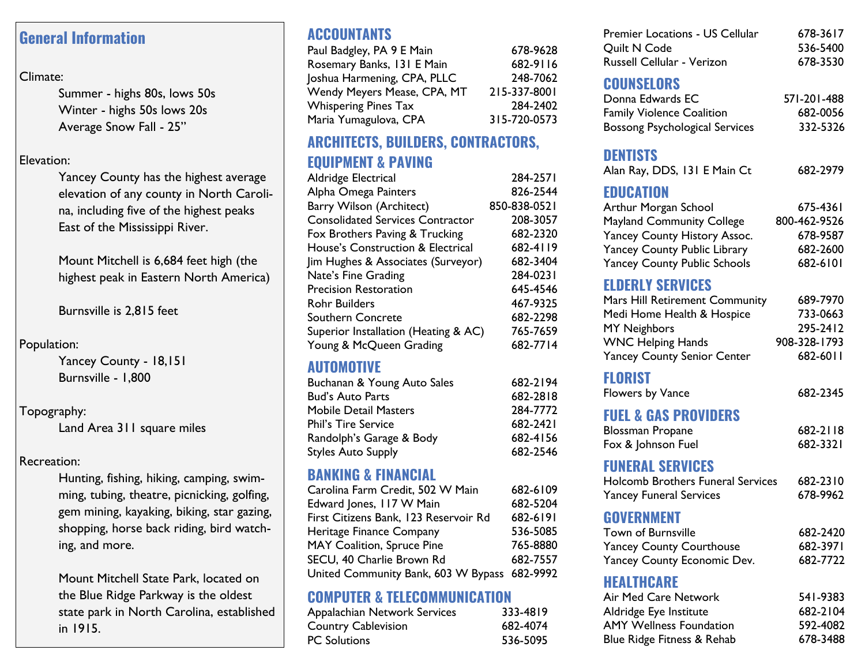### **General Information**

#### Climate:

Summer - highs 80s, lows 50s Winter - highs 50s lows 20s Average Snow Fall - 25"

#### Elevation:

Yancey County has the highest average elevation of any county in North Carolina, including five of the highest peaks East of the Mississippi River.

Mount Mitchell is 6,684 feet high (the highest peak in Eastern North America)

Burnsville is 2,815 feet

#### Population:

Yancey County - 18,151 Burnsville - 1,800

#### Topography:

Land Area 311 square miles

#### Recreation:

Hunting, fishing, hiking, camping, swimming, tubing, theatre, picnicking, golfing, gem mining, kayaking, biking, star gazing, shopping, horse back riding, bird watching, and more.

Mount Mitchell State Park, located on the Blue Ridge Parkway is the oldest state park in North Carolina, established in 1915.

# **ACCOUNTANTS**

| 678-9628     |
|--------------|
| 682-9116     |
| 248-7062     |
| 215-337-8001 |
| 284-2402     |
| 315-720-0573 |
|              |

# **ARCHITECTS, BUILDERS, CONTRACTORS,**

### **EQUIPMENT & PAVING**

| Aldridge Electrical                          | 284-2571     |
|----------------------------------------------|--------------|
| Alpha Omega Painters                         | 826-2544     |
| Barry Wilson (Architect)                     | 850-838-0521 |
| <b>Consolidated Services Contractor</b>      | 208-3057     |
| Fox Brothers Paving & Trucking               | 682-2320     |
| <b>House's Construction &amp; Electrical</b> | 682-4119     |
| Jim Hughes & Associates (Surveyor)           | 682-3404     |
| Nate's Fine Grading                          | 284-0231     |
| Precision Restoration                        | 645-4546     |
| Rohr Builders                                | 467-9325     |
| Southern Concrete                            | 682-2298     |
| Superior Installation (Heating & AC)         | 765-7659     |
| Young & McQueen Grading                      | 682-7714     |
|                                              |              |

### **AUTOMOTIVE**

| Buchanan & Young Auto Sales | 682-2194 |
|-----------------------------|----------|
| Bud's Auto Parts            | 682-2818 |
| Mobile Detail Masters       | 284-7772 |
| <b>Phil's Tire Service</b>  | 682-2421 |
| Randolph's Garage & Body    | 682-4156 |
| Styles Auto Supply          | 682-2546 |
|                             |          |

### **BANKING & FINANCIAL**

| Carolina Farm Credit, 502 W Main             | 682-6109 |
|----------------------------------------------|----------|
| Edward Jones, 117 W Main                     | 682-5204 |
| First Citizens Bank, 123 Reservoir Rd        | 682-6191 |
| Heritage Finance Company                     | 536-5085 |
| MAY Coalition, Spruce Pine                   | 765-8880 |
| SECU, 40 Charlie Brown Rd                    | 682-7557 |
| United Community Bank, 603 W Bypass 682-9992 |          |

### **COMPUTER & TELECOMMUNICATION**

| Appalachian Network Services | 333-4819 |
|------------------------------|----------|
| Country Cablevision          | 682-4074 |
| PC Solutions                 | 536-5095 |
|                              |          |

| <b>Premier Locations - US Cellular</b> | 678-3617 |
|----------------------------------------|----------|
| <b>Ouilt N Code</b>                    | 536-5400 |
| Russell Cellular - Verizon             | 678-3530 |

### **COUNSELORS**

| Donna Edwards EC                      | 571-201-488 |
|---------------------------------------|-------------|
| <b>Family Violence Coalition</b>      | 682-0056    |
| <b>Bossong Psychological Services</b> | 332-5326    |

### **DENTISTS**

| Alan Ray, DDS, 131 E Main Ct        | 682-2979     |
|-------------------------------------|--------------|
| <b>EDUCATION</b>                    |              |
| Arthur Morgan School                | 675-4361     |
| <b>Mayland Community College</b>    | 800-462-9526 |
| Yancey County History Assoc.        | 678-9587     |
| <b>Yancey County Public Library</b> | 682-2600     |
| <b>Yancey County Public Schools</b> | 682-6101     |

# **ELDERLY SERVICES**

| Mars Hill Retirement Community     | 689-7970     |
|------------------------------------|--------------|
| Medi Home Health & Hospice         | 733-0663     |
| <b>MY Neighbors</b>                | 295-2412     |
| <b>WNC Helping Hands</b>           | 908-328-1793 |
| <b>Yancey County Senior Center</b> | 682-6011     |

# **FLORIST**

| Flowers by Vance | 682-2345 |
|------------------|----------|
|                  |          |

### **FUEL & GAS PROVIDERS**

| <b>Blossman Propane</b> | 682-2118 |
|-------------------------|----------|
| Fox & Johnson Fuel      | 682-3321 |

### **FUNERAL SERVICES**

| <b>Holcomb Brothers Funeral Services</b> | 682-2310 |
|------------------------------------------|----------|
| <b>Yancey Funeral Services</b>           | 678-9962 |

# **GOVERNMENT**

| Town of Burnsville              | 682-2420 |
|---------------------------------|----------|
| <b>Yancey County Courthouse</b> | 682-3971 |
| Yancey County Economic Dev.     | 682-7722 |

### **HEALTHCARE**

| Air Med Care Network           | 541-9383 |
|--------------------------------|----------|
| Aldridge Eye Institute         | 682-2104 |
| <b>AMY Wellness Foundation</b> | 592-4082 |
| Blue Ridge Fitness & Rehab     | 678-3488 |